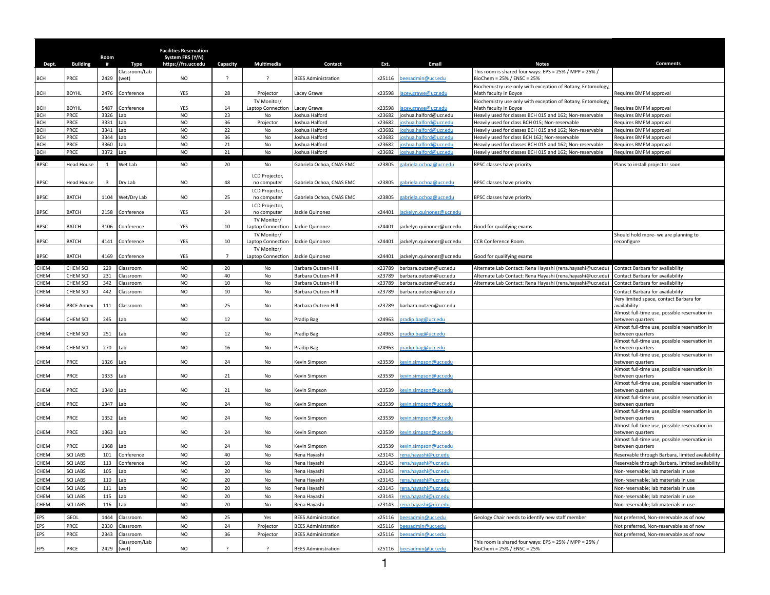|                          |                   | Room                    |                        | <b>Facilities Reservation</b><br>System FRS (Y/N) |                |                                  |                                  |                  |                                                 |                                                                                                            |                                                                   |
|--------------------------|-------------------|-------------------------|------------------------|---------------------------------------------------|----------------|----------------------------------|----------------------------------|------------------|-------------------------------------------------|------------------------------------------------------------------------------------------------------------|-------------------------------------------------------------------|
| Dept.                    | <b>Building</b>   | #                       | Type                   | https://frs.ucr.edu                               | Capacity       | Multimedia                       | Contact                          | Ext.             | Email                                           | <b>Notes</b>                                                                                               | <b>Comments</b>                                                   |
| BCH                      | PRCE              | 2429                    | Classroom/Lab<br>(wet) | <b>NO</b>                                         | $\overline{?}$ | $\overline{\phantom{0}}$         | <b>BEES Administration</b>       | x25116           | beesadmin@ucr.edu                               | This room is shared four ways: EPS = 25% / MPP = 25% /<br>BioChem = 25% / ENSC = 25%                       |                                                                   |
| BCH                      | <b>BOYHL</b>      | 2476                    | Conference             | YES                                               | 28             | Projector                        | Lacey Grawe                      | x23598           | acey.grawe@ucr.edu                              | Biochemistry use only with exception of Botany, Entomology,<br>Math faculty in Boyce                       | Requires BMPM approval                                            |
|                          |                   |                         |                        |                                                   |                | TV Monitor/                      |                                  |                  |                                                 | Biochemistry use only with exception of Botany, Entomology,                                                |                                                                   |
| BCH                      | <b>BOYHL</b>      | 5487                    | Conference             | YES                                               | 14             | Laptop Connection                | Lacey Grawe                      | x23598           | acey.grawe@ucr.edu                              | Math faculty in Boyce                                                                                      | Requires BMPM approval                                            |
| <b>BCH</b>               | PRCE              | 3326<br>3331            | Lab                    | <b>NO</b>                                         | 23             | No                               | Joshua Halford                   | x23682           | joshua.halford@ucr.edu                          | Heavily used for classes BCH 015 and 162; Non-reservable                                                   | Requires BMPM approval                                            |
| <b>BCH</b><br><b>BCH</b> | PRCE<br>PRCE      | 3341                    | Lab<br>Lab             | <b>NO</b><br><b>NO</b>                            | 36<br>22       | Projector<br>No                  | Joshua Halford<br>Joshua Halford | x23682<br>x23682 | oshua.halford@ucr.edu<br>ioshua.halford@ucr.edu | Heavily used for class BCH 015; Non-reservable<br>Heavily used for classes BCH 015 and 162; Non-reservable | Requires BMPM approval<br>Requires BMPM approval                  |
| <b>BCH</b>               | PRCE              | 3344                    | Lab                    | <b>NO</b>                                         | 36             | No                               | Joshua Halford                   | x23682           | oshua.halford@ucr.edu                           | Heavily used for class BCH 162; Non-reservable                                                             | Requires BMPM approval                                            |
| <b>BCH</b>               | PRCE              | 3360                    | Lab                    | <b>NO</b>                                         | 21             | No                               | Joshua Halford                   | x23682           | oshua.halford@ucr.edu                           | Heavily used for classes BCH 015 and 162: Non-reservable                                                   | Requires BMPM approval                                            |
| <b>BCH</b>               | PRCE              | 3372                    | Lab                    | <b>NO</b>                                         | 21             | No                               | Joshua Halford                   | x23682           | oshua.halford@ucr.edu                           | Heavily used for classes BCH 015 and 162; Non-reservable                                                   | Requires BMPM approval                                            |
|                          |                   |                         |                        |                                                   |                |                                  |                                  |                  |                                                 |                                                                                                            |                                                                   |
| <b>BPSC</b>              | Head House        | <sup>1</sup>            | Wet Lab                | <b>NO</b>                                         | 20             | No                               | Gabriela Ochoa, CNAS EMC         | x23805           | gabriela.ochoa@ucr.edu                          | BPSC classes have priority                                                                                 | Plans to install projector soon                                   |
| <b>BPSC</b>              | <b>Head House</b> | $\overline{\mathbf{3}}$ | Dry Lab                | <b>NO</b>                                         | 48             | LCD Projector,<br>no computer    | Gabriela Ochoa, CNAS EMC         | x23805           | gabriela.ochoa@ucr.edu                          | <b>BPSC classes have priority</b>                                                                          |                                                                   |
|                          |                   |                         |                        |                                                   |                | LCD Projector,                   |                                  |                  |                                                 |                                                                                                            |                                                                   |
| <b>BPSC</b>              | <b>BATCH</b>      | 1104                    | Wet/Dry Lab            | <b>NO</b>                                         | 25             | no computer                      | Gabriela Ochoa, CNAS EMC         | x23805           | gabriela.ochoa@ucr.edu                          | <b>BPSC classes have priority</b>                                                                          |                                                                   |
| <b>BPSC</b>              | <b>BATCH</b>      | 2158                    | Conference             | YES                                               | 24             | LCD Projector,<br>no computer    | Jackie Quinonez                  | x24401           | ackelyn.quinonez@ucr.edu                        |                                                                                                            |                                                                   |
|                          |                   |                         |                        |                                                   |                | TV Monitor/                      |                                  |                  |                                                 |                                                                                                            |                                                                   |
| <b>BPSC</b>              | BATCH             | 3106                    | Conference             | YES                                               | 10             | Laptop Connection<br>TV Monitor/ | Jackie Quinonez                  | x24401           | jackelyn.quinonez@ucr.edu                       | Good for qualifying exams                                                                                  | Should hold more- we are planning to                              |
| <b>BPSC</b>              | <b>BATCH</b>      | 4141                    | Conference             | YES                                               | 10             | Laptop Connection                | Jackie Quinonez                  | x24401           | jackelyn.quinonez@ucr.edu                       | <b>CCB Conference Room</b>                                                                                 | reconfigure                                                       |
| <b>BPSC</b>              | <b>BATCH</b>      | 4169                    | Conference             | YES                                               | $\overline{7}$ | TV Monitor/<br>Laptop Connection | Jackie Quinonez                  | x24401           | jackelyn.quinonez@ucr.edu                       | Good for qualifying exams                                                                                  |                                                                   |
| CHEM                     | CHEM SCI          | 229                     | Classroom              | <b>NO</b>                                         | 20             | No                               | Barbara Outzen-Hill              | x23789           | barbara.outzen@ucr.edu                          | Alternate Lab Contact: Rena Hayashi (rena.hayashi@ucr.edu)                                                 | Contact Barbara for availability                                  |
| CHEM                     | <b>CHEM SCI</b>   | 231                     | Classroom              | <b>NO</b>                                         | 40             | No                               | Barbara Outzen-Hill              | x23789           | barbara.outzen@ucr.edu                          | Alternate Lab Contact: Rena Hayashi (rena.hayashi@ucr.edu)                                                 | Contact Barbara for availability                                  |
| CHEM                     | <b>CHEM SCI</b>   | 342                     | Classroom              | <b>NO</b>                                         | 10             | No                               | Barbara Outzen-Hill              | x23789           | barbara.outzen@ucr.edu                          | Alternate Lab Contact: Rena Hayashi (rena.hayashi@ucr.edu)                                                 | Contact Barbara for availability                                  |
| CHEM                     | CHEM SCI          | 442                     | Classroom              | <b>NO</b>                                         | 10             | No                               | Barbara Outzen-Hill              | x23789           | barbara.outzen@ucr.edu                          |                                                                                                            | Contact Barbara for availability                                  |
| CHEM                     | <b>PRCE Annex</b> | 111                     | Classroom              | <b>NO</b>                                         | 25             | No                               | Barbara Outzen-Hill              | x23789           | barbara.outzen@ucr.edu                          |                                                                                                            | Very limited space, contact Barbara for<br>availability           |
| CHEM                     | CHEM SCI          | 245                     | Lab                    | <b>NO</b>                                         | 12             | No                               | Pradip Bag                       | x24963           | pradip.bag@ucr.edu                              |                                                                                                            | Almost full-time use, possible reservation in<br>between quarters |
| CHEM                     | CHEM SCI          | 251                     | Lab                    | <b>NO</b>                                         | 12             | No                               | Pradip Bag                       | x24963           | pradip.bag@ucr.edu                              |                                                                                                            | Almost full-time use, possible reservation in<br>between quarters |
| CHEM                     | CHEM SCI          | 270                     | Lab                    | <b>NO</b>                                         | 16             | No                               | Pradip Bag                       | x24963           | pradip.bag@ucr.edu                              |                                                                                                            | Almost full-time use, possible reservation in<br>between quarters |
| CHEM                     | PRCE              | 1326                    | Lab                    | <b>NO</b>                                         | 24             | No                               | Kevin Simpson                    | x23539           | kevin.simpson@ucr.edu                           |                                                                                                            | Almost full-time use, possible reservation in<br>between quarters |
| CHEM                     | PRCE              | 1333                    | Lab                    | <b>NO</b>                                         | 21             | No                               | Kevin Simpson                    | x23539           | kevin.simpson@ucr.edu                           |                                                                                                            | Almost full-time use, possible reservation in<br>between quarters |
| CHEM                     | PRCE              | 1340                    | Lab                    | <b>NO</b>                                         | 21             | No                               | Kevin Simpson                    | x23539           | <u>cevin.simpson@ucr.edu</u>                    |                                                                                                            | Almost full-time use, possible reservation in<br>between quarters |
| CHEM                     | PRCE              | 1347                    | Lab                    | <b>NO</b>                                         | 24             | No                               | Kevin Simpson                    | x23539           | kevin.simpson@ucr.edu                           |                                                                                                            | Almost full-time use, possible reservation in<br>between quarters |
| CHEM                     | PRCE              | 1352                    | Lab                    | <b>NO</b>                                         | 24             | No                               | Kevin Simpson                    | x23539           | <u>kevin.simpson@ucr.edu</u>                    |                                                                                                            | Almost full-time use, possible reservation in<br>between quarters |
| CHEM                     | PRCE              | 1363                    | Lab                    | <b>NO</b>                                         | 24             | No                               | Kevin Simpson                    | x23539           | kevin.simpson@ucr.edu                           |                                                                                                            | Almost full-time use, possible reservation in<br>between quarters |
| CHEM                     | PRCE              | 1368                    | .ab                    | <b>NO</b>                                         | 24             | No                               | Kevin Simpson                    | x23539           | kevin.simpson@ucr.edu                           |                                                                                                            | Almost full-time use, possible reservation in<br>between quarters |
| CHEM                     | <b>SCI LABS</b>   | 101                     | Conference             | <b>NO</b>                                         | 40             | No                               | Rena Hayashi                     | x23143           | rena.hayashi@ucr.edu                            |                                                                                                            | Reservable through Barbara, limited availability                  |
| CHEM                     | <b>SCI LABS</b>   | 113                     | Conference             | <b>NO</b>                                         | 10             | No                               | Rena Hayashi                     | x23143           | rena.hayashi@ucr.edu                            |                                                                                                            | Reservable through Barbara, limited availability                  |
| CHEM                     | <b>SCI LABS</b>   | 105                     | Lab                    | NO                                                | 20             | <b>No</b>                        | Rena Hayashi                     | x23143           | rena.havashi@ucr.edu                            |                                                                                                            | Non-reservable: lab materials in use                              |
| CHEM                     | <b>SCI LABS</b>   | 110                     | Lab                    | <b>NO</b>                                         | 20             | No                               | Rena Hayashi                     | x23143           | rena.hayashi@ucr.edu                            |                                                                                                            | Non-reservable; lab materials in use                              |
| CHEM                     | <b>SCI LABS</b>   | 111                     | Lab                    | <b>NO</b>                                         | 20             | No                               | Rena Hayashi                     | x23143           | rena.hayashi@ucr.edu                            |                                                                                                            | Non-reservable; lab materials in use                              |
| CHEM                     | <b>SCI LABS</b>   | 115                     | Lab                    | <b>NO</b>                                         | 20             | No                               | Rena Hayashi                     | x23143           | rena.hayashi@ucr.edu                            |                                                                                                            | Non-reservable; lab materials in use                              |
| CHEM                     | <b>SCI LABS</b>   | 116                     | Lab                    | <b>NO</b>                                         | 20             | No                               | Rena Hayashi                     | x23143           | rena.hayashi@ucr.edu                            |                                                                                                            | Non-reservable; lab materials in use                              |
|                          |                   |                         |                        |                                                   |                |                                  |                                  |                  |                                                 |                                                                                                            |                                                                   |
| EPS                      | <b>GEOL</b>       | 1444                    | Classroom              | <b>NO</b>                                         | 25             | Yes                              | <b>BEES Administration</b>       | x25116           | beesadmin@ucr.edu                               | Geology Chair needs to identify new staff member                                                           | Not preferred, Non-reservable as of now                           |
| EPS                      | PRCE              | 2330                    | Classroom              | <b>NO</b>                                         | 24             | Projector                        | <b>BEES Administration</b>       | x25116           | beesadmin@ucr.edu                               |                                                                                                            | Not preferred, Non-reservable as of now                           |
| EPS                      | PRCE              | 2343                    | Classroom              | <b>NO</b>                                         | 36             | Projector                        | <b>BEES Administration</b>       | x25116           | beesadmin@ucr.edu                               |                                                                                                            | Not preferred, Non-reservable as of now                           |
|                          | PRCE              | 2429                    | Classroom/Lab<br>(wet) | <b>NO</b>                                         | ?              | $\overline{?}$                   | <b>BEES Administration</b>       | x25116           | beesadmin@ucr.edu                               | This room is shared four ways: EPS = 25% / MPP = 25% /<br>BioChem = 25% / ENSC = 25%                       |                                                                   |
| EPS                      |                   |                         |                        |                                                   |                |                                  |                                  |                  |                                                 |                                                                                                            |                                                                   |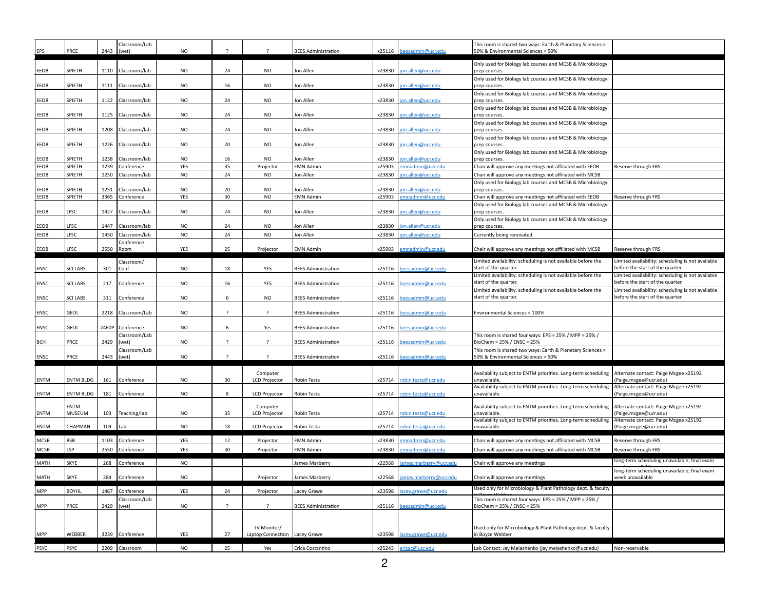| EPS          | PRCE             | 2443         | Classroom/Lab<br>(wet)      | <b>NO</b>        | - ?                      |                                                | <b>BEES Administration</b>    |                  | x25116 beesadmin@ucr.edu             | This room is shared two ways: Earth & Planetary Sciences =<br>50% & Environmental Sciences = 50%                      |                                                                                       |
|--------------|------------------|--------------|-----------------------------|------------------|--------------------------|------------------------------------------------|-------------------------------|------------------|--------------------------------------|-----------------------------------------------------------------------------------------------------------------------|---------------------------------------------------------------------------------------|
| EEOB         | SPIETH           | 1110         | Classroom/lab               | <b>NO</b>        | 24                       | <b>NO</b>                                      | Ion Allen                     | x23830           | jon.allen@ucr.edu                    | Only used for Biology lab courses and MCSB & Microbiology<br>prep courses.                                            |                                                                                       |
|              |                  |              |                             |                  |                          |                                                |                               |                  |                                      | Only used for Biology lab courses and MCSB & Microbiology                                                             |                                                                                       |
| EEOB         | SPIETH           | 1111         | Classroom/lab               | <b>NO</b>        | 16                       | <b>NO</b>                                      | Ion Allen                     | x23830           | on.allen@ucr.edu                     | prep courses.<br>Only used for Biology lab courses and MCSB & Microbiology                                            |                                                                                       |
| EEOB         | SPIETH           | 1122         | Classroom/lab               | <b>NO</b>        | 24                       | <b>NO</b>                                      | Ion Allen                     | x23830           | on.allen@ucr.edu                     | prep courses.                                                                                                         |                                                                                       |
| EEOB         | SPIETH           | 1125         | Classroom/lab               | <b>NO</b>        | 24                       | <b>NO</b>                                      | Ion Allen                     | x23830           | on.allen@ucr.edu                     | Only used for Biology lab courses and MCSB & Microbiology<br>prep courses.                                            |                                                                                       |
| EEOB         | SPIETH           | 1208         | Classroom/lab               | <b>NO</b>        | 24                       | <b>NO</b>                                      | Ion Allen                     | x23830           | on.allen@ucr.edu                     | Only used for Biology lab courses and MCSB & Microbiology<br>prep courses.                                            |                                                                                       |
|              |                  |              |                             |                  |                          |                                                |                               |                  |                                      | Only used for Biology lab courses and MCSB & Microbiology                                                             |                                                                                       |
| EEOB         | SPIETH           | 1226         | Classroom/lab               | <b>NO</b>        | 20                       | <b>NO</b>                                      | Ion Allen                     | x23830           | on.allen@ucr.edu                     | prep courses<br>Only used for Biology lab courses and MCSB & Microbiology                                             |                                                                                       |
| EEOB<br>EEOB | SPIETH<br>SPIETH | 1238<br>1239 | Classroom/lab<br>Conference | <b>NO</b><br>YES | 16<br>35                 | <b>NO</b><br>Projector                         | Jon Allen<br><b>EMN Admin</b> | x23830<br>x25903 | on.allen@ucr.edu<br>emnadmin@ucr.edu | prep courses.<br>Chair will approve any meetings not affiliated with EEOB                                             | Reserve through FRS                                                                   |
|              |                  |              |                             |                  |                          |                                                |                               |                  |                                      |                                                                                                                       |                                                                                       |
| EEOB         | SPIETH           | 1250         | Classroom/lab               | <b>NO</b>        | 24                       | <b>NO</b>                                      | <b>Jon Allen</b>              | x23830           | on.allen@ucr.edu                     | Chair will approve any meetings not affiliated with MCSB<br>Only used for Biology lab courses and MCSB & Microbiology |                                                                                       |
| EEOB         | SPIETH           | 1251         | Classroom/lab               | <b>NO</b>        | 20                       | <b>NO</b>                                      | Ion Allen                     | x23830           | on.allen@ucr.edu                     | prep courses.                                                                                                         |                                                                                       |
| EEOB         | SPIETH           | 3365         | Conference                  | YES              | 30                       | <b>NO</b>                                      | <b>EMN Admin</b>              | x25903           | emnadmin@ucr.edu                     | Chair will approve any meetings not affiliated with EEOB                                                              | Reserve through FRS                                                                   |
| EEOB         | LFSC             | 1427         | Classroom/lab               | <b>NO</b>        | 24                       | <b>NO</b>                                      | Jon Allen                     | x23830           | on.allen@ucr.edu                     | Only used for Biology lab courses and MCSB & Microbiology<br>prep courses.                                            |                                                                                       |
|              |                  |              |                             |                  |                          |                                                |                               |                  |                                      | Only used for Biology lab courses and MCSB & Microbiology                                                             |                                                                                       |
| EEOB         | LFSC             | 1447         | Classroom/lab               | <b>NO</b>        | 24                       | <b>NO</b>                                      | Jon Allen                     | x23830           | on.allen@ucr.edu                     | prep courses.                                                                                                         |                                                                                       |
| EEOB         | LFSC             | 1450         | Classroom/lab<br>Conference | <b>NO</b>        | 24                       | <b>NO</b>                                      | Jon Allen                     | x23830           | jon.allen@ucr.edu                    | Currently being renovated                                                                                             |                                                                                       |
| EEOB         | LFSC             | 2550         | Room                        | YES              | 25                       | Projector                                      | <b>EMN Admin</b>              | x25903           | emnadmin@ucr.edu                     | Chair will approve any meetings not affiliated with MCSB                                                              | Reserve through FRS                                                                   |
|              |                  |              | Classroom/                  |                  |                          |                                                |                               |                  |                                      | Limited availability: scheduling is not available before the                                                          | Limited availability: scheduling is not available                                     |
| ENSC         | <b>SCI LABS</b>  | 301          | Conf.                       | <b>NO</b>        | 18                       | YES                                            | <b>BEES Administration</b>    | x25116           | beesadmin@ucr.edu                    | start of the quarter.                                                                                                 | before the start of the quarter.                                                      |
|              |                  |              |                             |                  |                          |                                                |                               |                  |                                      | Limited availability: scheduling is not available before the                                                          | Limited availability: scheduling is not available                                     |
| ENSC         | <b>SCI LABS</b>  | 217          | Conference                  | <b>NO</b>        | 16                       | YES                                            | <b>BEES Administration</b>    | x25116           | beesadmin@ucr.edu                    | start of the quarter.                                                                                                 | before the start of the quarter.                                                      |
| ENSC         | <b>SCI LABS</b>  | 311          | Conference                  | <b>NO</b>        | 6                        | <b>NO</b>                                      | <b>BEES Administration</b>    | x25116           | beesadmin@ucr.edu                    | Limited availability: scheduling is not available before the<br>start of the quarter.                                 | Limited availability: scheduling is not available<br>before the start of the quarter. |
|              |                  |              |                             |                  | $\overline{\phantom{a}}$ |                                                |                               |                  |                                      |                                                                                                                       |                                                                                       |
| ENSC         | GEOL             | 2218         | Classroom/Lab               | <b>NO</b>        |                          | $\overline{?}$                                 | <b>BEES Administration</b>    | x25116           | beesadmin@ucr.edu                    | Environmental Sciences = 100%                                                                                         |                                                                                       |
| ENSC         | GEOL             | 2460P        | Conference                  | <b>NO</b>        | 6                        | Yes                                            | <b>BEES Administration</b>    | x25116           | beesadmin@ucr.edu                    |                                                                                                                       |                                                                                       |
| BCH          | PRCE             | 2429         | Classroom/Lab<br>(wet)      | <b>NO</b>        | $\overline{\phantom{a}}$ | - 2                                            | <b>BEES Administration</b>    | x25116           | beesadmin@ucr.edu                    | This room is shared four ways: EPS = 25% / MPP = 25% /<br>BioChem = 25% / ENSC = 25%                                  |                                                                                       |
|              |                  |              | Classroom/Lab               |                  |                          |                                                |                               |                  |                                      | This room is shared two ways: Earth & Planetary Sciences =                                                            |                                                                                       |
| ENSC         | PRCE             | 2443         | (wet)                       | <b>NO</b>        | $\overline{\phantom{a}}$ | $\overline{\phantom{0}}$                       | <b>BEES Administration</b>    |                  | x25116 beesadmin@ucr.edu             | 50% & Environmental Sciences = 50%                                                                                    |                                                                                       |
|              |                  |              |                             |                  |                          |                                                |                               |                  |                                      |                                                                                                                       |                                                                                       |
|              |                  |              |                             |                  |                          | Computer                                       |                               |                  |                                      | Availability subject to ENTM priorities. Long-term scheduling                                                         | Alternate contact: Paige Mcgee x25192                                                 |
| ENTM         | <b>ENTM BLDG</b> | 161          | Conference                  | <b>NO</b>        | 30                       | <b>LCD Projector</b>                           | Robin Testa                   | x25714           | obin.testa@ucr.edu                   | unavailable<br>Availability subject to ENTM priorities. Long-term scheduling                                          | (Paige.mcgee@ucr.edu)<br>Alternate contact: Paige Mcgee x25192                        |
| <b>ENTM</b>  | <b>ENTM BLDG</b> | 181          | Conference                  | <b>NO</b>        | 8                        | <b>LCD Projector</b>                           | Robin Testa                   | x25714           | robin.testa@ucr.edu                  | unavailable                                                                                                           | (Paige.mcgee@ucr.edu)                                                                 |
|              | <b>ENTM</b>      |              |                             |                  |                          | Computer                                       |                               |                  |                                      | Availability subject to ENTM priorities. Long-term scheduling                                                         | Alternate contact: Paige Mcgee x25192                                                 |
| <b>ENTM</b>  | MUSEUM           | 103          | Teaching/lab                | <b>NO</b>        | 35                       | <b>LCD Projector</b>                           | Robin Testa                   | x25714           | robin.testa@ucr.edu                  | unavailable                                                                                                           | (Paige.mcgee@ucr.edu)                                                                 |
| ENTM         | CHAPMAN          | 109          | Lab                         | <b>NO</b>        | 18                       | <b>LCD Projector</b>                           | Robin Testa                   | x25714           | robin.testa@ucr.edu                  | Availability subject to ENTM priorities. Long-term scheduling<br>unavailable.                                         | Alternate contact: Paige Mcgee x25192<br>(Paige.mcgee@ucr.edu)                        |
|              |                  |              |                             |                  |                          |                                                |                               |                  |                                      |                                                                                                                       |                                                                                       |
| MCSB         | <b>BSB</b>       | 1103         | Conference                  | YES              | 12                       | Projector                                      | <b>EMN Admin</b>              | x23830           | emnadmin@ucr.edu                     | Chair will approve any meetings not affiliated with MCSB                                                              | Reserve through FRS                                                                   |
| <b>MCSB</b>  | LSP              | 2550         | Conference                  | YES              | 30                       | Projector                                      | <b>EMN Admin</b>              | x23830           | mnadmin@ucr.edu                      | Chair will approve any meetings not affiliated with MCSB                                                              | Reserve through FRS                                                                   |
| MATH         | SKYE             | 268          | Conference                  | <b>NO</b>        |                          |                                                | James Marberry                | x22568           | james.marberry@ucr.edu               | Chair will approve any meetings                                                                                       | long-term scheduling unavailable; final exam                                          |
| MATH         | SKYE             | 284          | Conference                  | NO               |                          | Projector                                      | James Marberry                |                  | x22568 james.marberry@ucr.edu        | Chair will approve any meetings                                                                                       | long-term scheduling unavailable; final exam<br>week unavailable                      |
|              |                  |              |                             |                  |                          |                                                |                               |                  |                                      | Used only for Microbiology & Plant Pathology dept. & faculty                                                          |                                                                                       |
| MPP          | <b>BOYHL</b>     | 1467         | Conference<br>Classroom/Lab | YES              | 24                       | Projector                                      | Lacey Grawe                   | x23598           | acey.grawe@ucr.edu                   |                                                                                                                       |                                                                                       |
| MPP          | PRCE             | 2429         | (wet)                       | <b>NO</b>        | $\overline{?}$           | $\overline{?}$                                 | <b>BEES Administration</b>    | x25116           | beesadmin@ucr.edu                    | This room is shared four ways: EPS = 25% / MPP = 25% /<br>BioChem = 25% / ENSC = 25%                                  |                                                                                       |
|              |                  |              |                             |                  |                          |                                                |                               |                  |                                      |                                                                                                                       |                                                                                       |
|              |                  |              |                             |                  |                          |                                                |                               |                  |                                      | Used only for Microbiology & Plant Pathology dept. & faculty                                                          |                                                                                       |
| MPP          | WEBBER           | 3239         | Conference                  | YES              | 27                       | TV Monitor/<br>Laptop Connection   Lacey Grawe |                               | x23598           | lacey.grawe@ucr.edu                  | in Boyce Webber                                                                                                       |                                                                                       |
|              |                  |              |                             |                  |                          |                                                |                               |                  |                                      |                                                                                                                       |                                                                                       |
| <b>PSYC</b>  | PSYC             |              | 2209 Classroom              | <b>NO</b>        | 25                       | Yes                                            | Erica Costantino              |                  | x25243 ericac@ucr.edu                | Lab Contact: Jay Melashenko (jay.melashenko@ucr.edu)                                                                  | Non-reservable                                                                        |